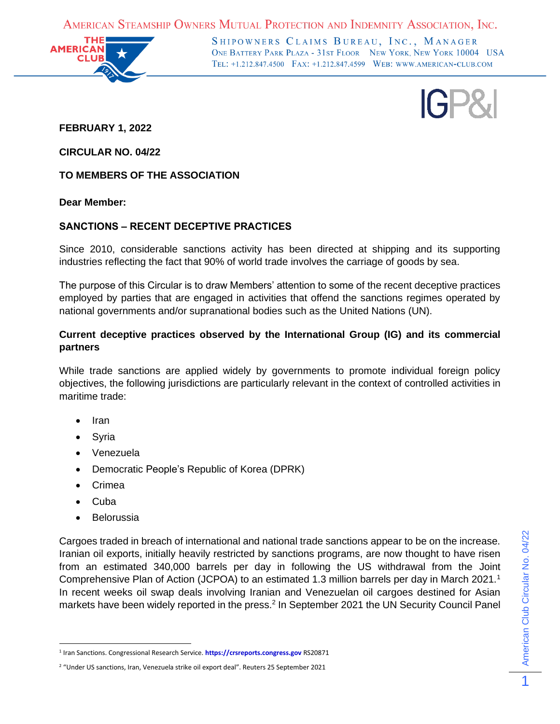AMERICAN STEAMSHIP OWNERS MUTUAL PROTECTION AND INDEMNITY ASSOCIATION, INC.



SHIPOWNERS CLAIMS BUREAU, INC., MANAGER ONE BATTERY PARK PLAZA - 31ST FLOOR NEW YORK, NEW YORK 10004 USA TEL: +1.212.847.4500 FAX: +1.212.847.4599 WEB: WWW.AMERICAN-CLUB.COM

IGP&

**FEBRUARY 1, 2022**

**CIRCULAR NO. 04/22**

**TO MEMBERS OF THE ASSOCIATION**

**Dear Member:**

# **SANCTIONS – RECENT DECEPTIVE PRACTICES**

Since 2010, considerable sanctions activity has been directed at shipping and its supporting industries reflecting the fact that 90% of world trade involves the carriage of goods by sea.

The purpose of this Circular is to draw Members' attention to some of the recent deceptive practices employed by parties that are engaged in activities that offend the sanctions regimes operated by national governments and/or supranational bodies such as the United Nations (UN).

# **Current deceptive practices observed by the International Group (IG) and its commercial partners**

While trade sanctions are applied widely by governments to promote individual foreign policy objectives, the following jurisdictions are particularly relevant in the context of controlled activities in maritime trade:

- Iran
- **Syria**
- Venezuela
- Democratic People's Republic of Korea (DPRK)
- Crimea
- Cuba
- **Belorussia**

Cargoes traded in breach of international and national trade sanctions appear to be on the increase. Iranian oil exports, initially heavily restricted by sanctions programs, are now thought to have risen from an estimated 340,000 barrels per day in following the US withdrawal from the Joint Comprehensive Plan of Action (JCPOA) to an estimated 1.3 million barrels per day in March 2021.<sup>1</sup> In recent weeks oil swap deals involving Iranian and Venezuelan oil cargoes destined for Asian markets have been widely reported in the press.<sup>2</sup> In September 2021 the UN Security Council Panel

<sup>1</sup> Iran Sanctions. Congressional Research Service. **[https://crsreports.congress.gov](https://crsreports.congress.gov/)** RS20871

<sup>2</sup> "Under US sanctions, Iran, Venezuela strike oil export deal". Reuters 25 September 2021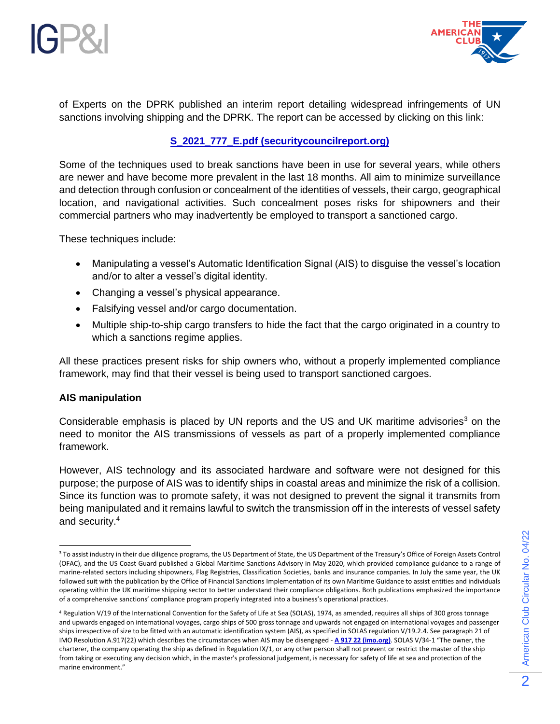



of Experts on the DPRK published an interim report detailing widespread infringements of UN sanctions involving shipping and the DPRK. The report can be accessed by clicking on this link:

# **[S\\_2021\\_777\\_E.pdf \(securitycouncilreport.org\)](https://www.american-club.com/files/files/S_2021_777_E.pdf)**

Some of the techniques used to break sanctions have been in use for several years, while others are newer and have become more prevalent in the last 18 months. All aim to minimize surveillance and detection through confusion or concealment of the identities of vessels, their cargo, geographical location, and navigational activities. Such concealment poses risks for shipowners and their commercial partners who may inadvertently be employed to transport a sanctioned cargo.

These techniques include:

- Manipulating a vessel's Automatic Identification Signal (AIS) to disguise the vessel's location and/or to alter a vessel's digital identity.
- Changing a vessel's physical appearance.
- Falsifying vessel and/or cargo documentation.
- Multiple ship-to-ship cargo transfers to hide the fact that the cargo originated in a country to which a sanctions regime applies.

All these practices present risks for ship owners who, without a properly implemented compliance framework, may find that their vessel is being used to transport sanctioned cargoes.

#### **AIS manipulation**

Considerable emphasis is placed by UN reports and the US and UK maritime advisories<sup>3</sup> on the need to monitor the AIS transmissions of vessels as part of a properly implemented compliance framework.

However, AIS technology and its associated hardware and software were not designed for this purpose; the purpose of AIS was to identify ships in coastal areas and minimize the risk of a collision. Since its function was to promote safety, it was not designed to prevent the signal it transmits from being manipulated and it remains lawful to switch the transmission off in the interests of vessel safety and security.<sup>4</sup>

<sup>&</sup>lt;sup>3</sup> To assist industry in their due diligence programs, the US Department of State, the US Department of the Treasury's Office of Foreign Assets Control (OFAC), and the US Coast Guard published a Global Maritime Sanctions Advisory in May 2020, which provided compliance guidance to a range of marine-related sectors including shipowners, Flag Registries, Classification Societies, banks and insurance companies. In July the same year, the UK followed suit with the publication by the Office of Financial Sanctions Implementation of its own Maritime Guidance to assist entities and individuals operating within the UK maritime shipping sector to better understand their compliance obligations. Both publications emphasized the importance of a comprehensive sanctions' compliance program properly integrated into a business's operational practices.

<sup>4</sup> Regulation V/19 of the International Convention for the Safety of Life at Sea (SOLAS), 1974, as amended, requires all ships of 300 gross tonnage and upwards engaged on international voyages, cargo ships of 500 gross tonnage and upwards not engaged on international voyages and passenger ships irrespective of size to be fitted with an automatic identification system (AIS), as specified in SOLAS regulation V/19.2.4. See paragraph 21 of IMO Resolution A.917(22) which describes the circumstances when AIS may be disengaged - **[A 917 22 \(imo.org\)](https://www.american-club.com/files/files/A_917_22.pdf)**. SOLAS V/34-1 "The owner, the charterer, the company operating the ship as defined in Regulation IX/1, or any other person shall not prevent or restrict the master of the ship from taking or executing any decision which, in the master's professional judgement, is necessary for safety of life at sea and protection of the marine environment."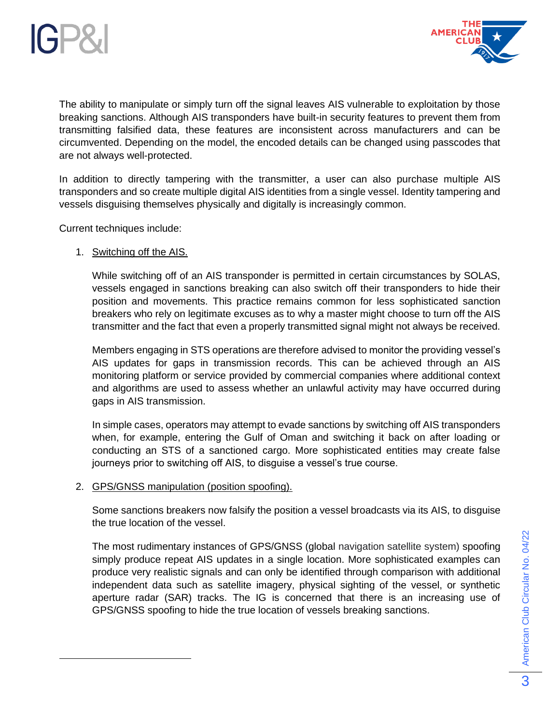



The ability to manipulate or simply turn off the signal leaves AIS vulnerable to exploitation by those breaking sanctions. Although AIS transponders have built-in security features to prevent them from transmitting falsified data, these features are inconsistent across manufacturers and can be circumvented. Depending on the model, the encoded details can be changed using passcodes that are not always well-protected.

In addition to directly tampering with the transmitter, a user can also purchase multiple AIS transponders and so create multiple digital AIS identities from a single vessel. Identity tampering and vessels disguising themselves physically and digitally is increasingly common.

Current techniques include:

### 1. Switching off the AIS.

While switching off of an AIS transponder is permitted in certain circumstances by SOLAS, vessels engaged in sanctions breaking can also switch off their transponders to hide their position and movements. This practice remains common for less sophisticated sanction breakers who rely on legitimate excuses as to why a master might choose to turn off the AIS transmitter and the fact that even a properly transmitted signal might not always be received.

Members engaging in STS operations are therefore advised to monitor the providing vessel's AIS updates for gaps in transmission records. This can be achieved through an AIS monitoring platform or service provided by commercial companies where additional context and algorithms are used to assess whether an unlawful activity may have occurred during gaps in AIS transmission.

In simple cases, operators may attempt to evade sanctions by switching off AIS transponders when, for example, entering the Gulf of Oman and switching it back on after loading or conducting an STS of a sanctioned cargo. More sophisticated entities may create false journeys prior to switching off AIS, to disguise a vessel's true course.

#### 2. GPS/GNSS manipulation (position spoofing).

Some sanctions breakers now falsify the position a vessel broadcasts via its AIS, to disguise the true location of the vessel.

The most rudimentary instances of GPS/GNSS (global navigation satellite system) spoofing simply produce repeat AIS updates in a single location. More sophisticated examples can produce very realistic signals and can only be identified through comparison with additional independent data such as satellite imagery, physical sighting of the vessel, or synthetic aperture radar (SAR) tracks. The IG is concerned that there is an increasing use of GPS/GNSS spoofing to hide the true location of vessels breaking sanctions.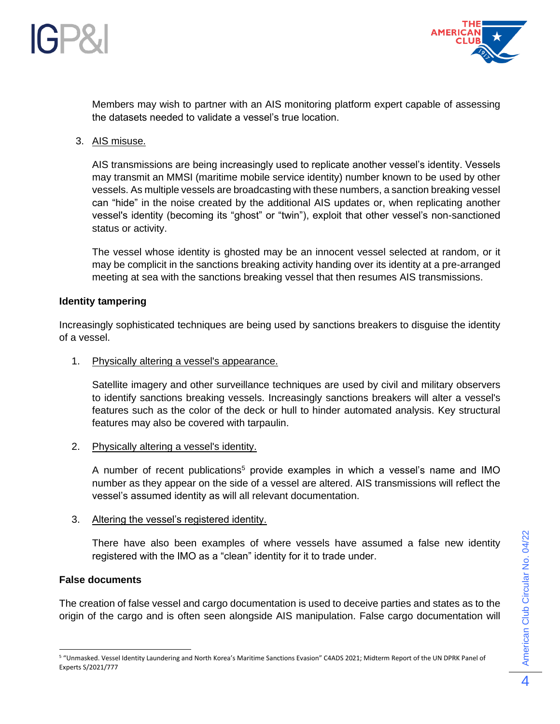



Members may wish to partner with an AIS monitoring platform expert capable of assessing the datasets needed to validate a vessel's true location.

3. AIS misuse.

AIS transmissions are being increasingly used to replicate another vessel's identity. Vessels may transmit an MMSI (maritime mobile service identity) number known to be used by other vessels. As multiple vessels are broadcasting with these numbers, a sanction breaking vessel can "hide" in the noise created by the additional AIS updates or, when replicating another vessel's identity (becoming its "ghost" or "twin"), exploit that other vessel's non-sanctioned status or activity.

The vessel whose identity is ghosted may be an innocent vessel selected at random, or it may be complicit in the sanctions breaking activity handing over its identity at a pre-arranged meeting at sea with the sanctions breaking vessel that then resumes AIS transmissions.

### **Identity tampering**

Increasingly sophisticated techniques are being used by sanctions breakers to disguise the identity of a vessel.

1. Physically altering a vessel's appearance.

Satellite imagery and other surveillance techniques are used by civil and military observers to identify sanctions breaking vessels. Increasingly sanctions breakers will alter a vessel's features such as the color of the deck or hull to hinder automated analysis. Key structural features may also be covered with tarpaulin.

2. Physically altering a vessel's identity.

A number of recent publications<sup>5</sup> provide examples in which a vessel's name and IMO number as they appear on the side of a vessel are altered. AIS transmissions will reflect the vessel's assumed identity as will all relevant documentation.

3. Altering the vessel's registered identity.

There have also been examples of where vessels have assumed a false new identity registered with the IMO as a "clean" identity for it to trade under.

## **False documents**

The creation of false vessel and cargo documentation is used to deceive parties and states as to the origin of the cargo and is often seen alongside AIS manipulation. False cargo documentation will

<sup>5</sup> "Unmasked. Vessel Identity Laundering and North Korea's Maritime Sanctions Evasion" C4ADS 2021; Midterm Report of the UN DPRK Panel of Experts S/2021/777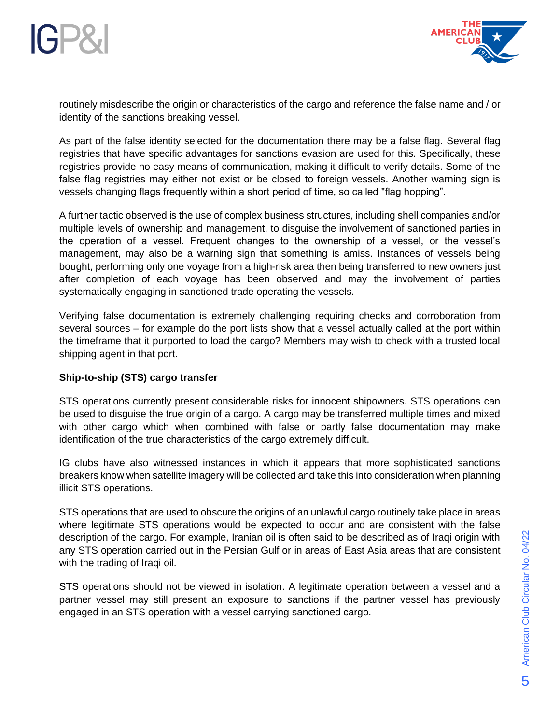



routinely misdescribe the origin or characteristics of the cargo and reference the false name and / or identity of the sanctions breaking vessel.

As part of the false identity selected for the documentation there may be a false flag. Several flag registries that have specific advantages for sanctions evasion are used for this. Specifically, these registries provide no easy means of communication, making it difficult to verify details. Some of the false flag registries may either not exist or be closed to foreign vessels. Another warning sign is vessels changing flags frequently within a short period of time, so called "flag hopping".

A further tactic observed is the use of complex business structures, including shell companies and/or multiple levels of ownership and management, to disguise the involvement of sanctioned parties in the operation of a vessel. Frequent changes to the ownership of a vessel, or the vessel's management, may also be a warning sign that something is amiss. Instances of vessels being bought, performing only one voyage from a high-risk area then being transferred to new owners just after completion of each voyage has been observed and may the involvement of parties systematically engaging in sanctioned trade operating the vessels.

Verifying false documentation is extremely challenging requiring checks and corroboration from several sources – for example do the port lists show that a vessel actually called at the port within the timeframe that it purported to load the cargo? Members may wish to check with a trusted local shipping agent in that port.

## **Ship-to-ship (STS) cargo transfer**

STS operations currently present considerable risks for innocent shipowners. STS operations can be used to disguise the true origin of a cargo. A cargo may be transferred multiple times and mixed with other cargo which when combined with false or partly false documentation may make identification of the true characteristics of the cargo extremely difficult.

IG clubs have also witnessed instances in which it appears that more sophisticated sanctions breakers know when satellite imagery will be collected and take this into consideration when planning illicit STS operations.

STS operations that are used to obscure the origins of an unlawful cargo routinely take place in areas where legitimate STS operations would be expected to occur and are consistent with the false description of the cargo. For example, Iranian oil is often said to be described as of Iraqi origin with any STS operation carried out in the Persian Gulf or in areas of East Asia areas that are consistent with the trading of Iraqi oil.

STS operations should not be viewed in isolation. A legitimate operation between a vessel and a partner vessel may still present an exposure to sanctions if the partner vessel has previously engaged in an STS operation with a vessel carrying sanctioned cargo.